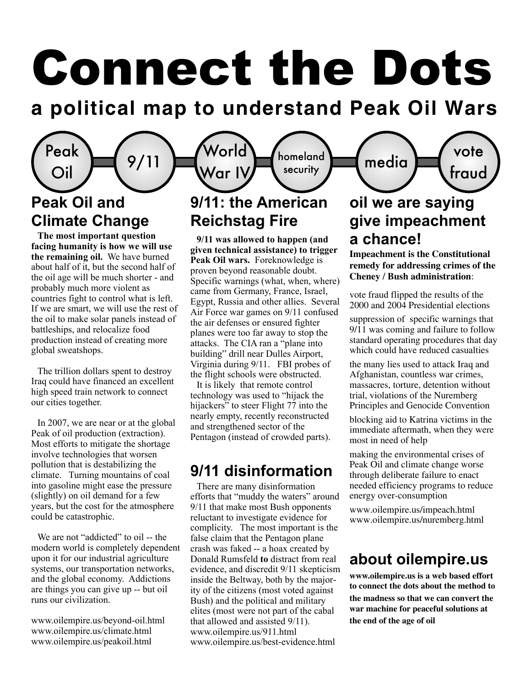# Connect the Dots

# **a political map to understand Peak Oil Wars**

homeland

# **Peak Oil and Climate Change**

Peak

**The most important question facing humanity is how we will use the remaining oil.** We have burned about half of it, but the second half of the oil age will be much shorter - and probably much more violent as countries fight to control what is left. If we are smart, we will use the rest of the oil to make solar panels instead of battleships, and relocalize food production instead of creating more global sweatshops.

The trillion dollars spent to destroy Iraq could have financed an excellent high speed train network to connect our cities together.

In 2007, we are near or at the global Peak of oil production (extraction). Most efforts to mitigate the shortage involve technologies that worsen pollution that is destabilizing the climate. Turning mountains of coal into gasoline might ease the pressure (slightly) on oil demand for a few years, but the cost for the atmosphere could be catastrophic.

We are not "addicted" to oil -- the modern world is completely dependent upon it for our industrial agriculture systems, our transportation networks, and the global economy. Addictions are things you can give up -- but oil runs our civilization.

www.oilempire.us/beyond-oil.html www.oilempire.us/climate.html www.oilempire.us/peakoil.html

#### **9/11: the American Reichstag Fire**  $\stackrel{\sf{Peak}}{\mathsf{Oil}}\left( \begin{array}{c} 9/11 \end{array} \right)$  (World War IV War IV security

**9/11 was allowed to happen (and given technical assistance) to trigger Peak Oil wars.** Foreknowledge is proven beyond reasonable doubt. Specific warnings (what, when, where) came from Germany, France, Israel, Egypt, Russia and other allies. Several Air Force war games on 9/11 confused the air defenses or ensured fighter planes were too far away to stop the attacks. The CIA ran a "plane into building" drill near Dulles Airport, Virginia during 9/11. FBI probes of the flight schools were obstructed.

It is likely that remote control technology was used to "hijack the hijackers" to steer Flight 77 into the nearly empty, recently reconstructed and strengthened sector of the Pentagon (instead of crowded parts).

#### **9/11 disinformation**

There are many disinformation efforts that "muddy the waters" around 9/11 that make most Bush opponents reluctant to investigate evidence for complicity. The most important is the false claim that the Pentagon plane crash was faked -- a hoax created by Donald Rumsfeld **to** distract from real evidence, and discredit 9/11 skepticism inside the Beltway, both by the majority of the citizens (most voted against Bush) and the political and military elites (most were not part of the cabal that allowed and assisted 9/11). www.oilempire.us/911.html www.oilempire.us/best-evidence.html

### **oil we are saying give impeachment a chance!**

vote

fraud

media

**Impeachment is the Constitutional remedy for addressing crimes of the Cheney / Bush administration**:

vote fraud flipped the results of the 2000 and 2004 Presidential elections

suppression of specific warnings that 9/11 was coming and failure to follow standard operating procedures that day which could have reduced casualties

the many lies used to attack Iraq and Afghanistan, countless war crimes, massacres, torture, detention without trial, violations of the Nuremberg Principles and Genocide Convention

blocking aid to Katrina victims in the immediate aftermath, when they were most in need of help

making the environmental crises of Peak Oil and climate change worse through deliberate failure to enact needed efficiency programs to reduce energy over-consumption

www.oilempire.us/impeach.html www.oilempire.us/nuremberg.html

#### **about oilempire.us**

**www.oilempire.us is a web based effort to connect the dots about the method to the madness so that we can convert the war machine for peaceful solutions at the end of the age of oil**